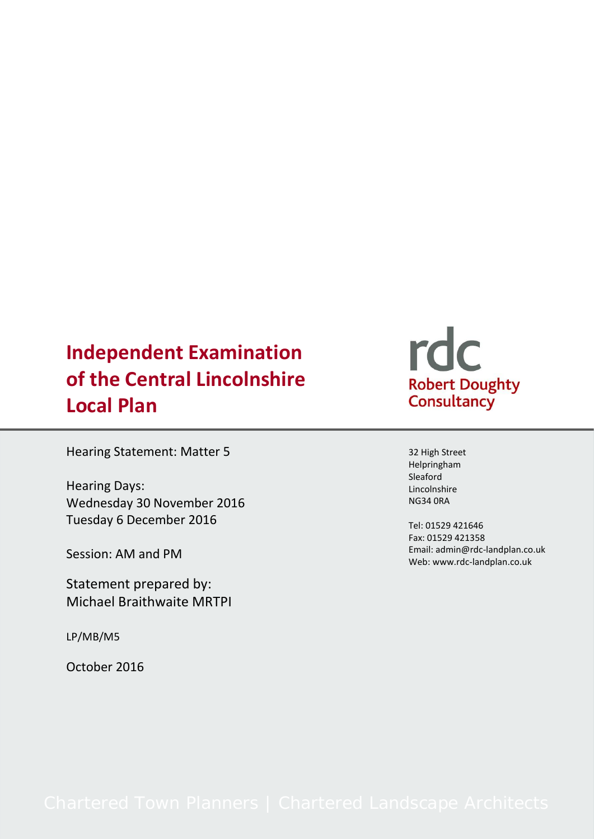## **Independent Examination of the Central Lincolnshire Local Plan**

Hearing Statement: Matter 5

Hearing Days: Wednesday 30 November 2016 Tuesday 6 December 2016

Session: AM and PM

Statement prepared by: Michael Braithwaite MRTPI

LP/MB/M5

October 2016

# rdc Robert Doughty<br>Consultancy

32 High Street Helpringham Sleaford Lincolnshire NG34 0RA

Tel: 01529 421646 Fax: 01529 421358 Email: admin@rdc-landplan.co.uk Web: www.rdc-landplan.co.uk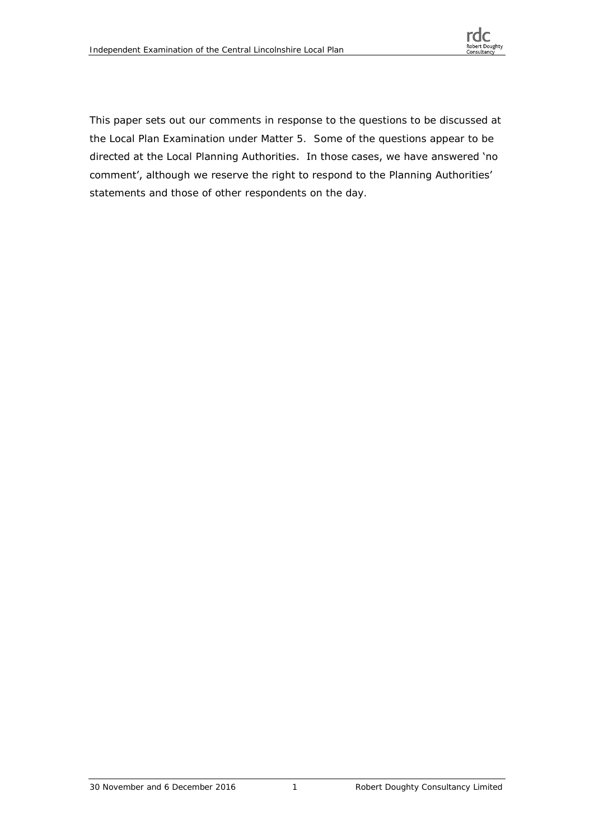

This paper sets out our comments in response to the questions to be discussed at the Local Plan Examination under Matter 5. Some of the questions appear to be directed at the Local Planning Authorities. In those cases, we have answered 'no comment', although we reserve the right to respond to the Planning Authorities' statements and those of other respondents on the day.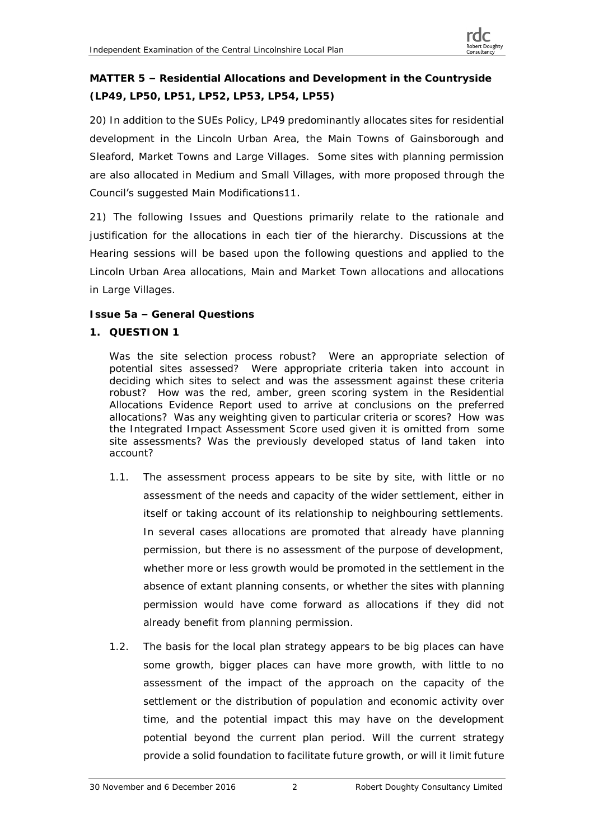**MATTER 5 – Residential Allocations and Development in the Countryside (LP49, LP50, LP51, LP52, LP53, LP54, LP55)**

20) In addition to the SUEs Policy, LP49 predominantly allocates sites for residential development in the Lincoln Urban Area, the Main Towns of Gainsborough and Sleaford, Market Towns and Large Villages. Some sites with planning permission are also allocated in Medium and Small Villages, with more proposed through the Council's suggested Main Modifications11.

21) The following Issues and Questions primarily relate to the rationale and justification for the allocations in each tier of the hierarchy. Discussions at the Hearing sessions will be based upon the following questions and applied to the Lincoln Urban Area allocations, Main and Market Town allocations and allocations in Large Villages.

**Issue 5a – General Questions**

**1. QUESTION 1**

Was the site selection process robust? Were an appropriate selection of potential sites assessed? Were appropriate criteria taken into account in deciding which sites to select and was the assessment against these criteria robust? How was the red, amber, green scoring system in the *Residential Allocations Evidence Repor*t used to arrive at conclusions on the preferred allocations? Was any weighting given to particular criteria or scores? How was the Integrated Impact Assessment Score used given it is omitted from some site assessments? Was the previously developed status of land taken into account?

- 1.1. The assessment process appears to be site by site, with little or no assessment of the needs and capacity of the wider settlement, either in itself or taking account of its relationship to neighbouring settlements. In several cases allocations are promoted that already have planning permission, but there is no assessment of the purpose of development, whether more or less growth would be promoted in the settlement in the absence of extant planning consents, or whether the sites with planning permission would have come forward as allocations if they did not already benefit from planning permission.
- 1.2. The basis for the local plan strategy appears to be big places can have some growth, bigger places can have more growth, with little to no assessment of the impact of the approach on the capacity of the settlement or the distribution of population and economic activity over time, and the potential impact this may have on the development potential beyond the current plan period. Will the current strategy provide a solid foundation to facilitate future growth, or will it limit future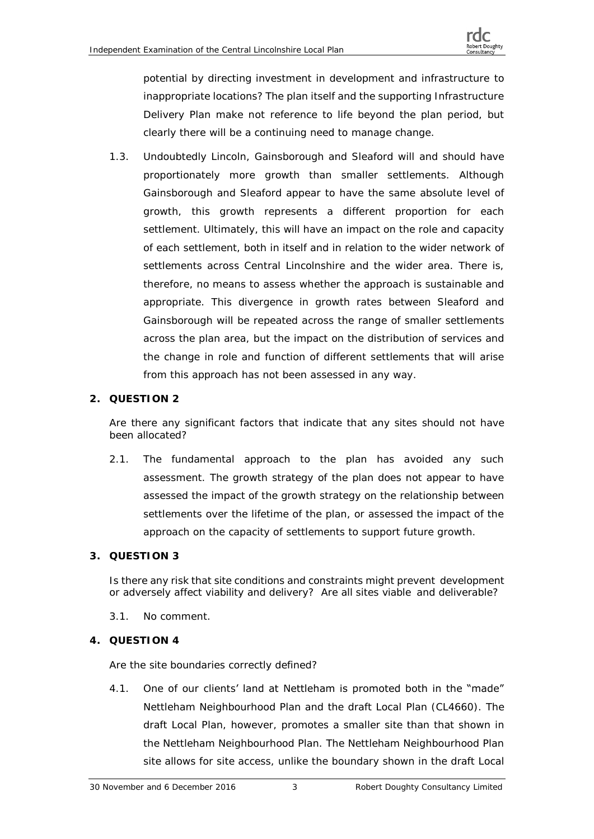potential by directing investment in development and infrastructure to inappropriate locations? The plan itself and the supporting Infrastructure Delivery Plan make not reference to life beyond the plan period, but clearly there will be a continuing need to manage change.

1.3. Undoubtedly Lincoln, Gainsborough and Sleaford will and should have proportionately more growth than smaller settlements. Although Gainsborough and Sleaford appear to have the same absolute level of growth, this growth represents a different proportion for each settlement. Ultimately, this will have an impact on the role and capacity of each settlement, both in itself and in relation to the wider network of settlements across Central Lincolnshire and the wider area. There is, therefore, no means to assess whether the approach is sustainable and appropriate. This divergence in growth rates between Sleaford and Gainsborough will be repeated across the range of smaller settlements across the plan area, but the impact on the distribution of services and the change in role and function of different settlements that will arise from this approach has not been assessed in any way.

#### **2. QUESTION 2**

Are there any significant factors that indicate that any sites should not have been allocated?

- 2.1. The fundamental approach to the plan has avoided any such assessment. The growth strategy of the plan does not appear to have assessed the impact of the growth strategy on the relationship between settlements over the lifetime of the plan, or assessed the impact of the approach on the capacity of settlements to support future growth.
- **3. QUESTION 3**

Is there any risk that site conditions and constraints might prevent development or adversely affect viability and delivery? Are all sites viable and deliverable?

- 3.1. No comment.
- **4. QUESTION 4**

Are the site boundaries correctly defined?

4.1. One of our clients' land at Nettleham is promoted both in the "made" Nettleham Neighbourhood Plan and the draft Local Plan (CL4660). The draft Local Plan, however, promotes a smaller site than that shown in the Nettleham Neighbourhood Plan. The Nettleham Neighbourhood Plan site allows for site access, unlike the boundary shown in the draft Local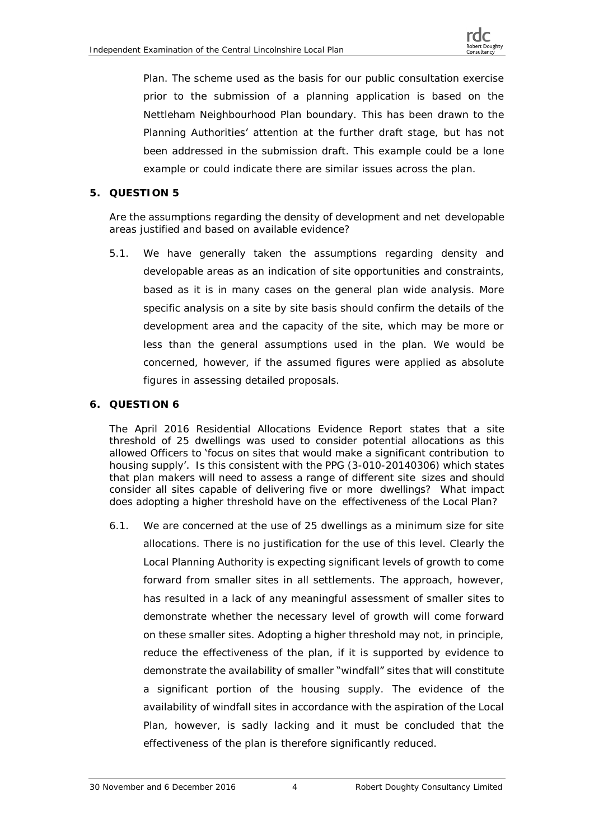Plan. The scheme used as the basis for our public consultation exercise prior to the submission of a planning application is based on the Nettleham Neighbourhood Plan boundary. This has been drawn to the Planning Authorities' attention at the further draft stage, but has not been addressed in the submission draft. This example could be a lone example or could indicate there are similar issues across the plan.

#### **5. QUESTION 5**

Are the assumptions regarding the density of development and net developable areas justified and based on available evidence?

5.1. We have generally taken the assumptions regarding density and developable areas as an indication of site opportunities and constraints, based as it is in many cases on the general plan wide analysis. More specific analysis on a site by site basis should confirm the details of the development area and the capacity of the site, which may be more or less than the general assumptions used in the plan. We would be concerned, however, if the assumed figures were applied as absolute figures in assessing detailed proposals.

#### **6. QUESTION 6**

The April 2016 Residential Allocations Evidence Report states that a site threshold of 25 dwellings was used to consider potential allocations as this allowed Officers to 'focus on sites that would make a significant contribution to housing supply'. Is this consistent with the PPG (3-010-20140306) which states that plan makers will need to assess a range of different site sizes and should consider all sites capable of delivering five or more dwellings? What impact does adopting a higher threshold have on the effectiveness of the Local Plan?

6.1. We are concerned at the use of 25 dwellings as a minimum size for site allocations. There is no justification for the use of this level. Clearly the Local Planning Authority is expecting significant levels of growth to come forward from smaller sites in all settlements. The approach, however, has resulted in a lack of any meaningful assessment of smaller sites to demonstrate whether the necessary level of growth will come forward on these smaller sites. Adopting a higher threshold may not, in principle, reduce the effectiveness of the plan, if it is supported by evidence to demonstrate the availability of smaller "windfall" sites that will constitute a significant portion of the housing supply. The evidence of the availability of windfall sites in accordance with the aspiration of the Local Plan, however, is sadly lacking and it must be concluded that the effectiveness of the plan is therefore significantly reduced.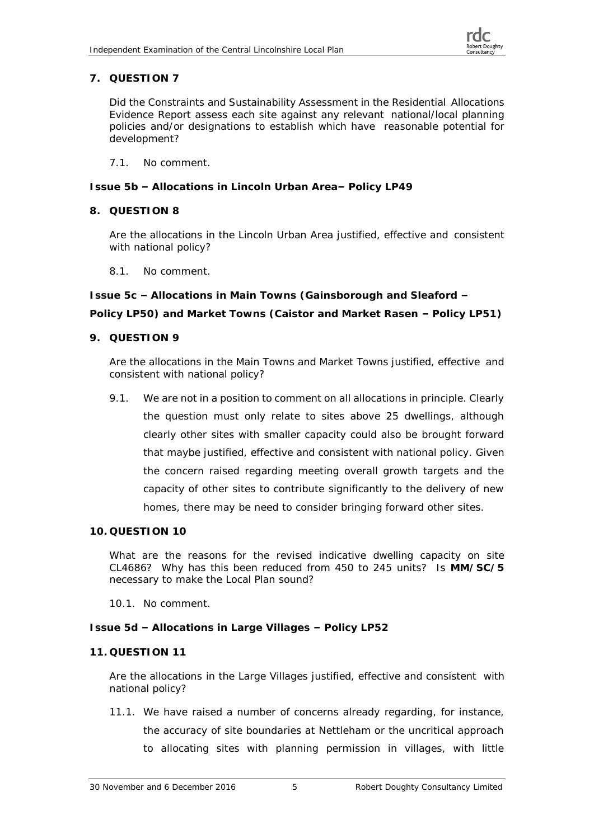### **7. QUESTION 7**

Did the Constraints and Sustainability Assessment in the Residential Allocations Evidence Report assess each site against any relevant national/local planning policies and/or designations to establish which have reasonable potential for development?

7.1. No comment.

**Issue 5b – Allocations in Lincoln Urban Area– Policy LP49**

**8. QUESTION 8**

Are the allocations in the Lincoln Urban Area justified, effective and consistent with national policy?

8.1. No comment.

**Issue 5c – Allocations in Main Towns (Gainsborough and Sleaford – Policy LP50) and Market Towns (Caistor and Market Rasen – Policy LP51)**

**9. QUESTION 9**

Are the allocations in the Main Towns and Market Towns justified, effective and consistent with national policy?

- 9.1. We are not in a position to comment on all allocations in principle. Clearly the question must only relate to sites above 25 dwellings, although clearly other sites with smaller capacity could also be brought forward that maybe justified, effective and consistent with national policy. Given the concern raised regarding meeting overall growth targets and the capacity of other sites to contribute significantly to the delivery of new homes, there may be need to consider bringing forward other sites.
- **10. QUESTION 10**

What are the reasons for the revised indicative dwelling capacity on site CL4686? Why has this been reduced from 450 to 245 units? Is **MM/SC/5** necessary to make the Local Plan sound?

10.1. No comment.

**Issue 5d – Allocations in Large Villages – Policy LP52**

#### **11. QUESTION 11**

Are the allocations in the Large Villages justified, effective and consistent with national policy?

11.1. We have raised a number of concerns already regarding, for instance, the accuracy of site boundaries at Nettleham or the uncritical approach to allocating sites with planning permission in villages, with little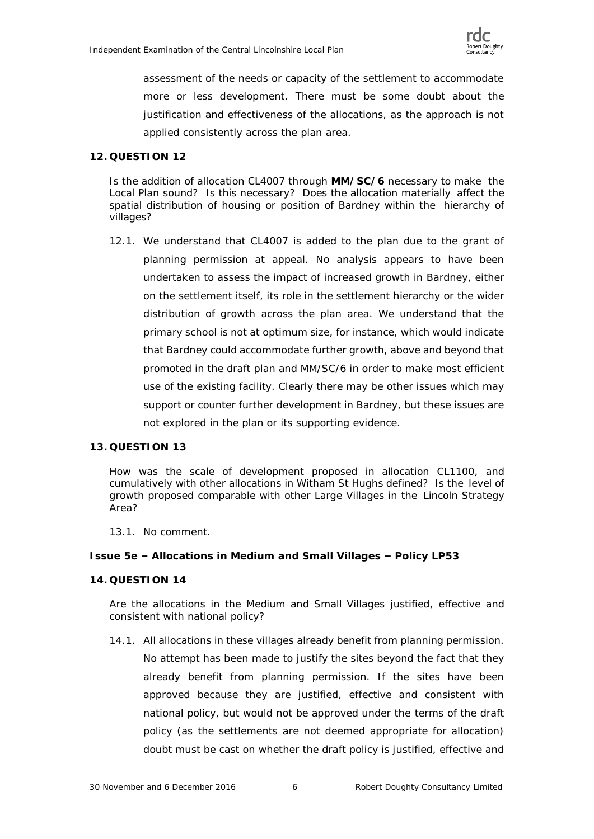assessment of the needs or capacity of the settlement to accommodate more or less development. There must be some doubt about the justification and effectiveness of the allocations, as the approach is not applied consistently across the plan area.

#### **12. QUESTION 12**

Is the addition of allocation CL4007 through **MM/SC/6** necessary to make the Local Plan sound? Is this necessary? Does the allocation materially affect the spatial distribution of housing or position of Bardney within the hierarchy of villages?

12.1. We understand that CL4007 is added to the plan due to the grant of planning permission at appeal. No analysis appears to have been undertaken to assess the impact of increased growth in Bardney, either on the settlement itself, its role in the settlement hierarchy or the wider distribution of growth across the plan area. We understand that the primary school is not at optimum size, for instance, which would indicate that Bardney could accommodate further growth, above and beyond that promoted in the draft plan and MM/SC/6 in order to make most efficient use of the existing facility. Clearly there may be other issues which may support or counter further development in Bardney, but these issues are not explored in the plan or its supporting evidence.

#### **13. QUESTION 13**

How was the scale of development proposed in allocation CL1100, and cumulatively with other allocations in Witham St Hughs defined? Is the level of growth proposed comparable with other Large Villages in the Lincoln Strategy Area?

#### 13.1. No comment.

**Issue 5e – Allocations in Medium and Small Villages – Policy LP53**

#### **14. QUESTION 14**

Are the allocations in the Medium and Small Villages justified, effective and consistent with national policy?

14.1. All allocations in these villages already benefit from planning permission. No attempt has been made to justify the sites beyond the fact that they already benefit from planning permission. If the sites have been approved because they are justified, effective and consistent with national policy, but would not be approved under the terms of the draft policy (as the settlements are not deemed appropriate for allocation) doubt must be cast on whether the draft policy is justified, effective and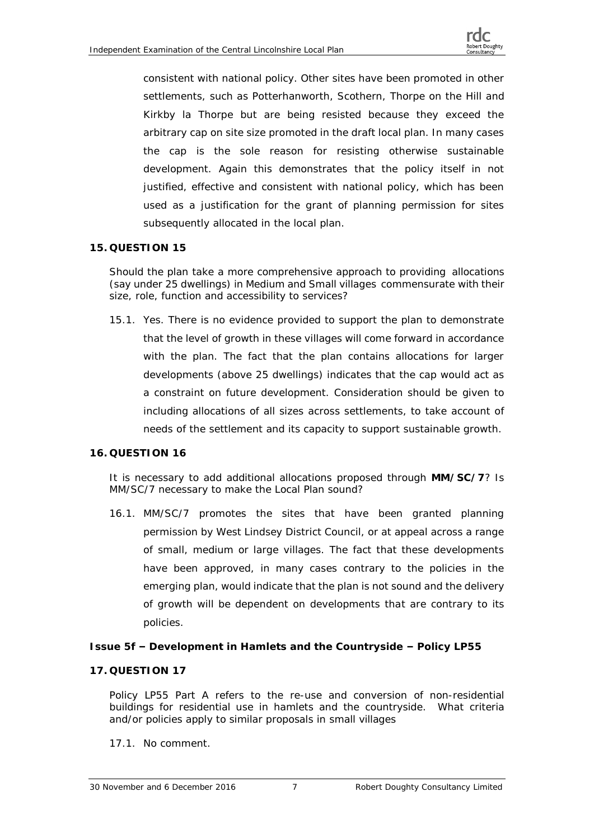

consistent with national policy. Other sites have been promoted in other settlements, such as Potterhanworth, Scothern, Thorpe on the Hill and Kirkby la Thorpe but are being resisted because they exceed the arbitrary cap on site size promoted in the draft local plan. In many cases the cap is the sole reason for resisting otherwise sustainable development. Again this demonstrates that the policy itself in not justified, effective and consistent with national policy, which has been used as a justification for the grant of planning permission for sites subsequently allocated in the local plan.

#### **15. QUESTION 15**

Should the plan take a more comprehensive approach to providing allocations (say under 25 dwellings) in Medium and Small villages commensurate with their size, role, function and accessibility to services?

15.1. Yes. There is no evidence provided to support the plan to demonstrate that the level of growth in these villages will come forward in accordance with the plan. The fact that the plan contains allocations for larger developments (above 25 dwellings) indicates that the cap would act as a constraint on future development. Consideration should be given to including allocations of all sizes across settlements, to take account of needs of the settlement and its capacity to support sustainable growth.

#### **16. QUESTION 16**

It is necessary to add additional allocations proposed through **MM/SC/7**? Is MM/SC/7 necessary to make the Local Plan sound?

16.1. MM/SC/7 promotes the sites that have been granted planning permission by West Lindsey District Council, or at appeal across a range of small, medium or large villages. The fact that these developments have been approved, in many cases contrary to the policies in the emerging plan, would indicate that the plan is not sound and the delivery of growth will be dependent on developments that are contrary to its policies.

#### **Issue 5f – Development in Hamlets and the Countryside – Policy LP55**

#### **17. QUESTION 17**

Policy LP55 Part A refers to the re-use and conversion of non-residential buildings for residential use in hamlets and the countryside. What criteria and/or policies apply to similar proposals in small villages

#### 17.1. No comment.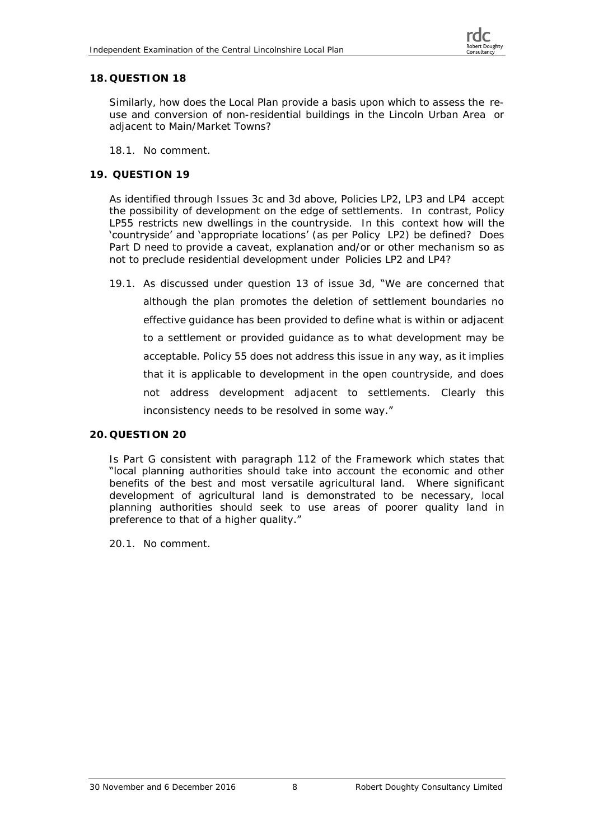#### **18. QUESTION 18**

Similarly, how does the Local Plan provide a basis upon which to assess the reuse and conversion of non-residential buildings in the Lincoln Urban Area or adjacent to Main/Market Towns?

18.1. No comment.

#### **19. QUESTION 19**

As identified through Issues 3c and 3d above, Policies LP2, LP3 and LP4 accept the possibility of development on the edge of settlements. In contrast, Policy LP55 restricts new dwellings in the countryside. In this context how will the 'countryside' and 'appropriate locations' (as per Policy LP2) be defined? Does Part D need to provide a caveat, explanation and/or or other mechanism so as not to preclude residential development under Policies LP2 and LP4?

19.1. As discussed under question 13 of issue 3d, "We are concerned that although the plan promotes the deletion of settlement boundaries no effective guidance has been provided to define what is within or adjacent to a settlement or provided guidance as to what development may be acceptable. Policy 55 does not address this issue in any way, as it implies that it is applicable to development in the open countryside, and does not address development adjacent to settlements. Clearly this inconsistency needs to be resolved in some way."

#### **20. QUESTION 20**

Is Part G consistent with paragraph 112 of the Framework which states that "local planning authorities should take into account the economic and other benefits of the best and most versatile agricultural land. Where significant development of agricultural land is demonstrated to be necessary, local planning authorities should seek to use areas of poorer quality land in preference to that of a higher quality."

20.1. No comment.